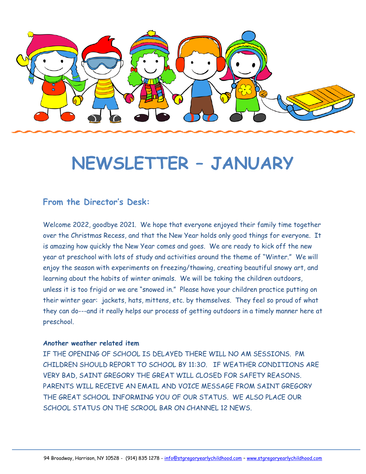

# **NEWSLETTER – JANUARY**

#### **From the Director's Desk:**

Welcome 2022, goodbye 2021. We hope that everyone enjoyed their family time together over the Christmas Recess, and that the New Year holds only good things for everyone. It is amazing how quickly the New Year comes and goes. We are ready to kick off the new year at preschool with lots of study and activities around the theme of "Winter." We will enjoy the season with experiments on freezing/thawing, creating beautiful snowy art, and learning about the habits of winter animals. We will be taking the children outdoors, unless it is too frigid or we are "snowed in." Please have your children practice putting on their winter gear: jackets, hats, mittens, etc. by themselves. They feel so proud of what they can do---and it really helps our process of getting outdoors in a timely manner here at preschool.

#### **Another weather related item**

IF THE OPENING OF SCHOOL IS DELAYED THERE WILL NO AM SESSIONS. PM CHILDREN SHOULD REPORT TO SCHOOL BY 11:3O. IF WEATHER CONDITIONS ARE VERY BAD, SAINT GREGORY THE GREAT WILL CLOSED FOR SAFETY REASONS. PARENTS WILL RECEIVE AN EMAIL AND VOICE MESSAGE FROM SAINT GREGORY THE GREAT SCHOOL INFORMING YOU OF OUR STATUS. WE ALSO PLACE OUR SCHOOL STATUS ON THE SCROOL BAR ON CHANNEL 12 NEWS.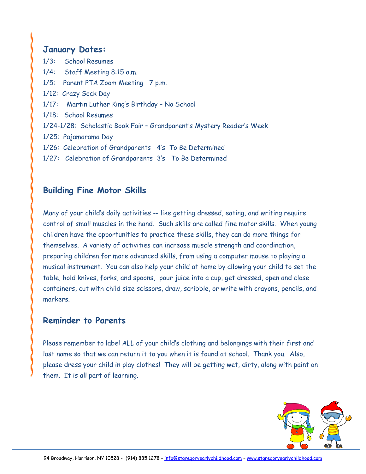### **January Dates:**

| 1/3: School Resumes                                                   |
|-----------------------------------------------------------------------|
| 1/4: Staff Meeting 8:15 a.m.                                          |
| 1/5: Parent PTA Zoom Meeting 7 p.m.                                   |
| 1/12: Crazy Sock Day                                                  |
| 1/17: Martin Luther King's Birthday - No School                       |
| 1/18: School Resumes                                                  |
| 1/24-1/28: Scholastic Book Fair - Grandparent's Mystery Reader's Week |
| 1/25: Pajamarama Day                                                  |
| 1/26: Celebration of Grandparents 4's To Be Determined                |
| 1/27: Celebration of Grandparents 3's To Be Determined                |

## **Building Fine Motor Skills**

Many of your child's daily activities -- like getting dressed, eating, and writing require control of small muscles in the hand. Such skills are called fine motor skills. When young children have the opportunities to practice these skills, they can do more things for themselves. A variety of activities can increase muscle strength and coordination, preparing children for more advanced skills, from using a computer mouse to playing a musical instrument. You can also help your child at home by allowing your child to set the table, hold knives, forks, and spoons, pour juice into a cup, get dressed, open and close containers, cut with child size scissors, draw, scribble, or write with crayons, pencils, and markers.

#### **Reminder to Parents**

Please remember to label ALL of your child's clothing and belongings with their first and last name so that we can return it to you when it is found at school. Thank you. Also, please dress your child in play clothes! They will be getting wet, dirty, along with paint on them. It is all part of learning.

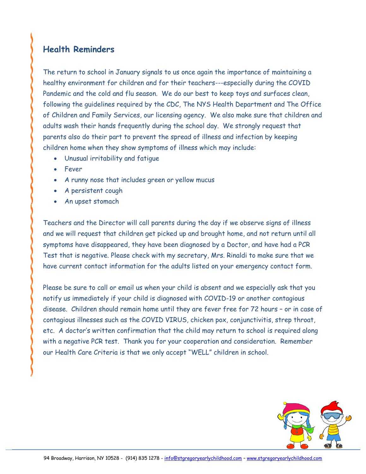# **Health Reminders**

The return to school in January signals to us once again the importance of maintaining a healthy environment for children and for their teachers---especially during the COVID Pandemic and the cold and flu season. We do our best to keep toys and surfaces clean, following the guidelines required by the CDC, The NYS Health Department and The Office of Children and Family Services, our licensing agency. We also make sure that children and adults wash their hands frequently during the school day. We strongly request that parents also do their part to prevent the spread of illness and infection by keeping children home when they show symptoms of illness which may include:

- Unusual irritability and fatigue
- Fever
- A runny nose that includes green or yellow mucus
- A persistent cough
- An upset stomach

Teachers and the Director will call parents during the day if we observe signs of illness and we will request that children get picked up and brought home, and not return until all symptoms have disappeared, they have been diagnosed by a Doctor, and have had a PCR Test that is negative. Please check with my secretary, Mrs. Rinaldi to make sure that we have current contact information for the adults listed on your emergency contact form.

Please be sure to call or email us when your child is absent and we especially ask that you notify us immediately if your child is diagnosed with COVID-19 or another contagious disease. Children should remain home until they are fever free for 72 hours – or in case of contagious illnesses such as the COVID VIRUS, chicken pox, conjunctivitis, strep throat, etc. A doctor's written confirmation that the child may return to school is required along with a negative PCR test. Thank you for your cooperation and consideration. Remember our Health Care Criteria is that we only accept "WELL" children in school.